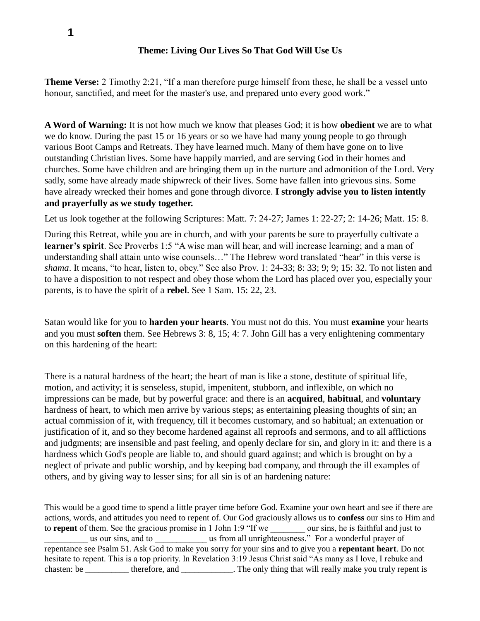## **Theme: Living Our Lives So That God Will Use Us**

**Theme Verse:** 2 Timothy 2:21, "If a man therefore purge himself from these, he shall be a vessel unto honour, sanctified, and meet for the master's use, and prepared unto every good work."

**A Word of Warning:** It is not how much we know that pleases God; it is how **obedient** we are to what we do know. During the past 15 or 16 years or so we have had many young people to go through various Boot Camps and Retreats. They have learned much. Many of them have gone on to live outstanding Christian lives. Some have happily married, and are serving God in their homes and churches. Some have children and are bringing them up in the nurture and admonition of the Lord. Very sadly, some have already made shipwreck of their lives. Some have fallen into grievous sins. Some have already wrecked their homes and gone through divorce. **I strongly advise you to listen intently and prayerfully as we study together.**

Let us look together at the following Scriptures: Matt. 7: 24-27; James 1: 22-27; 2: 14-26; Matt. 15: 8.

During this Retreat, while you are in church, and with your parents be sure to prayerfully cultivate a **learner's spirit**. See Proverbs 1:5 "A wise man will hear, and will increase learning; and a man of understanding shall attain unto wise counsels…" The Hebrew word translated "hear" in this verse is *shama*. It means, "to hear, listen to, obey." See also Prov. 1: 24-33; 8: 33; 9; 9; 15: 32. To not listen and to have a disposition to not respect and obey those whom the Lord has placed over you, especially your parents, is to have the spirit of a **rebel**. See 1 Sam. 15: 22, 23.

Satan would like for you to **harden your hearts**. You must not do this. You must **examine** your hearts and you must **soften** them. See Hebrews 3: 8, 15; 4: 7. John Gill has a very enlightening commentary on this hardening of the heart:

There is a natural hardness of the heart; the heart of man is like a stone, destitute of spiritual life, motion, and activity; it is senseless, stupid, impenitent, stubborn, and inflexible, on which no impressions can be made, but by powerful grace: and there is an **acquired**, **habitual**, and **voluntary** hardness of heart, to which men arrive by various steps; as entertaining pleasing thoughts of sin; an actual commission of it, with frequency, till it becomes customary, and so habitual; an extenuation or justification of it, and so they become hardened against all reproofs and sermons, and to all afflictions and judgments; are insensible and past feeling, and openly declare for sin, and glory in it: and there is a hardness which God's people are liable to, and should guard against; and which is brought on by a neglect of private and public worship, and by keeping bad company, and through the ill examples of others, and by giving way to lesser sins; for all sin is of an hardening nature:

This would be a good time to spend a little prayer time before God. Examine your own heart and see if there are actions, words, and attitudes you need to repent of. Our God graciously allows us to **confess** our sins to Him and to **repent** of them. See the gracious promise in 1 John 1:9 "If we we our sins, he is faithful and just to us our sins, and to  $\qquad \qquad$  us from all unrighteousness." For a wonderful prayer of repentance see Psalm 51. Ask God to make you sorry for your sins and to give you a **repentant heart**. Do not hesitate to repent. This is a top priority. In Revelation 3:19 Jesus Christ said "As many as I love, I rebuke and chasten: be \_\_\_\_\_\_\_\_\_\_ therefore, and \_\_\_\_\_\_\_\_\_\_. The only thing that will really make you truly repent is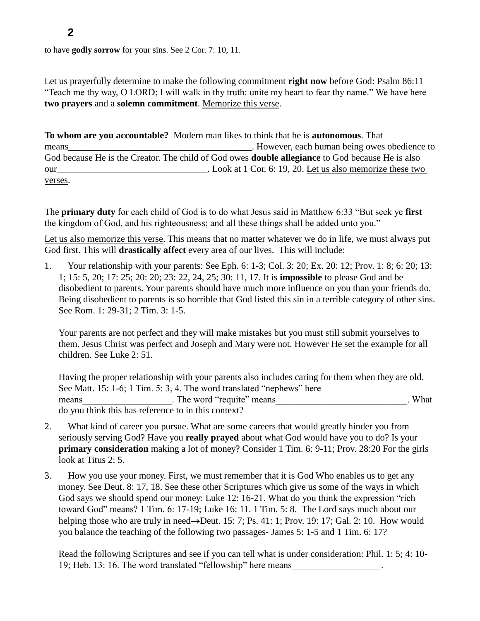to have **godly sorrow** for your sins. See 2 Cor. 7: 10, 11.

Let us prayerfully determine to make the following commitment **right now** before God: Psalm 86:11 "Teach me thy way, O LORD; I will walk in thy truth: unite my heart to fear thy name." We have here **two prayers** and a **solemn commitment**. Memorize this verse.

**To whom are you accountable?** Modern man likes to think that he is **autonomous**. That means **means means number numbers numbers numbers numbers numbers numbers numbers numbers numbers numbers numbers numbers numbers numbers numbers numbers numbers numbers numbers** God because He is the Creator. The child of God owes **double allegiance** to God because He is also our and the set of the set of the set of the set of the set of the set of the set of the set of the set of the set of the set of the set of the set of the set of the set of the set of the set of the set of the set of the s verses.

The **primary duty** for each child of God is to do what Jesus said in Matthew 6:33 "But seek ye **first** the kingdom of God, and his righteousness; and all these things shall be added unto you."

Let us also memorize this verse. This means that no matter whatever we do in life, we must always put God first. This will **drastically affect** every area of our lives. This will include:

1. Your relationship with your parents: See Eph. 6: 1-3; Col. 3: 20; Ex. 20: 12; Prov. 1: 8; 6: 20; 13: 1; 15: 5, 20; 17: 25; 20: 20; 23: 22, 24, 25; 30: 11, 17. It is **impossible** to please God and be disobedient to parents. Your parents should have much more influence on you than your friends do. Being disobedient to parents is so horrible that God listed this sin in a terrible category of other sins. See Rom. 1: 29-31; 2 Tim. 3: 1-5.

Your parents are not perfect and they will make mistakes but you must still submit yourselves to them. Jesus Christ was perfect and Joseph and Mary were not. However He set the example for all children. See Luke 2: 51.

Having the proper relationship with your parents also includes caring for them when they are old. See Matt. 15: 1-6; 1 Tim. 5: 3, 4. The word translated "nephews" here means The word "requite" means that the word the word "require" means that the word the word the word the word  $\mathcal{N}$  what do you think this has reference to in this context?

- 2. What kind of career you pursue. What are some careers that would greatly hinder you from seriously serving God? Have you **really prayed** about what God would have you to do? Is your **primary consideration** making a lot of money? Consider 1 Tim. 6: 9-11; Prov. 28:20 For the girls look at Titus 2: 5.
- 3. How you use your money. First, we must remember that it is God Who enables us to get any money. See Deut. 8: 17, 18. See these other Scriptures which give us some of the ways in which God says we should spend our money: Luke 12: 16-21. What do you think the expression "rich toward God" means? 1 Tim. 6: 17-19; Luke 16: 11. 1 Tim. 5: 8. The Lord says much about our helping those who are truly in need $\rightarrow$ Deut. 15: 7; Ps. 41: 1; Prov. 19: 17; Gal. 2: 10. How would you balance the teaching of the following two passages- James 5: 1-5 and 1 Tim. 6: 17?

Read the following Scriptures and see if you can tell what is under consideration: Phil. 1: 5; 4: 10- 19; Heb. 13: 16. The word translated "fellowship" here means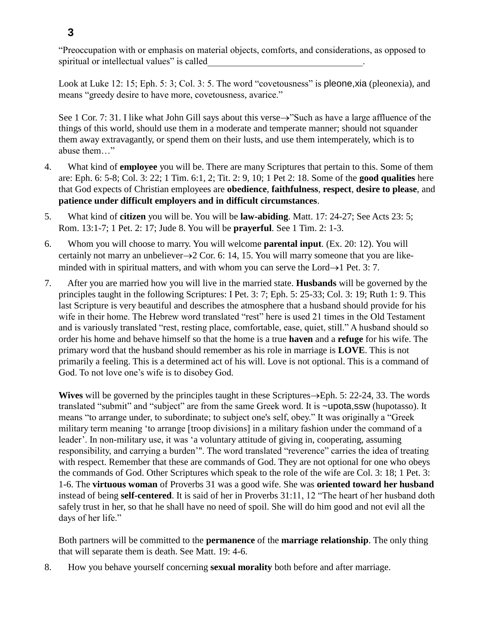**3**

"Preoccupation with or emphasis on material objects, comforts, and considerations, as opposed to spiritual or intellectual values" is called

Look at Luke 12: 15; Eph. 5: 3; Col. 3: 5. The word "covetousness" is pleone, xia (pleonexia), and means "greedy desire to have more, covetousness, avarice."

See 1 Cor. 7: 31. I like what John Gill says about this verse $\rightarrow$ "Such as have a large affluence of the things of this world, should use them in a moderate and temperate manner; should not squander them away extravagantly, or spend them on their lusts, and use them intemperately, which is to abuse them…"

- 4. What kind of **employee** you will be. There are many Scriptures that pertain to this. Some of them are: Eph. 6: 5-8; Col. 3: 22; 1 Tim. 6:1, 2; Tit. 2: 9, 10; 1 Pet 2: 18. Some of the **good qualities** here that God expects of Christian employees are **obedience**, **faithfulness**, **respect**, **desire to please**, and **patience under difficult employers and in difficult circumstances**.
- 5. What kind of **citizen** you will be. You will be **law-abiding**. Matt. 17: 24-27; See Acts 23: 5; Rom. 13:1-7; 1 Pet. 2: 17; Jude 8. You will be **prayerful**. See 1 Tim. 2: 1-3.
- 6. Whom you will choose to marry. You will welcome **parental input**. (Ex. 20: 12). You will certainly not marry an unbeliever $\rightarrow$  2 Cor. 6: 14, 15. You will marry someone that you are likeminded with in spiritual matters, and with whom you can serve the Lord $\rightarrow$ 1 Pet. 3: 7.
- 7. After you are married how you will live in the married state. **Husbands** will be governed by the principles taught in the following Scriptures: I Pet. 3: 7; Eph. 5: 25-33; Col. 3: 19; Ruth 1: 9. This last Scripture is very beautiful and describes the atmosphere that a husband should provide for his wife in their home. The Hebrew word translated "rest" here is used 21 times in the Old Testament and is variously translated "rest, resting place, comfortable, ease, quiet, still." A husband should so order his home and behave himself so that the home is a true **haven** and a **refuge** for his wife. The primary word that the husband should remember as his role in marriage is **LOVE**. This is not primarily a feeling. This is a determined act of his will. Love is not optional. This is a command of God. To not love one's wife is to disobey God.

**Wives** will be governed by the principles taught in these Scriptures $\rightarrow$ Eph. 5: 22-24, 33. The words translated "submit" and "subject" are from the same Greek word. It is ~upota,ssw (hupotasso). It means "to arrange under, to subordinate; to subject one's self, obey." It was originally a "Greek military term meaning 'to arrange [troop divisions] in a military fashion under the command of a leader'. In non-military use, it was 'a voluntary attitude of giving in, cooperating, assuming responsibility, and carrying a burden'". The word translated "reverence" carries the idea of treating with respect. Remember that these are commands of God. They are not optional for one who obeys the commands of God. Other Scriptures which speak to the role of the wife are Col. 3: 18; 1 Pet. 3: 1-6. The **virtuous woman** of Proverbs 31 was a good wife. She was **oriented toward her husband** instead of being **self-centered**. It is said of her in Proverbs 31:11, 12 "The heart of her husband doth safely trust in her, so that he shall have no need of spoil. She will do him good and not evil all the days of her life."

Both partners will be committed to the **permanence** of the **marriage relationship**. The only thing that will separate them is death. See Matt. 19: 4-6.

8. How you behave yourself concerning **sexual morality** both before and after marriage.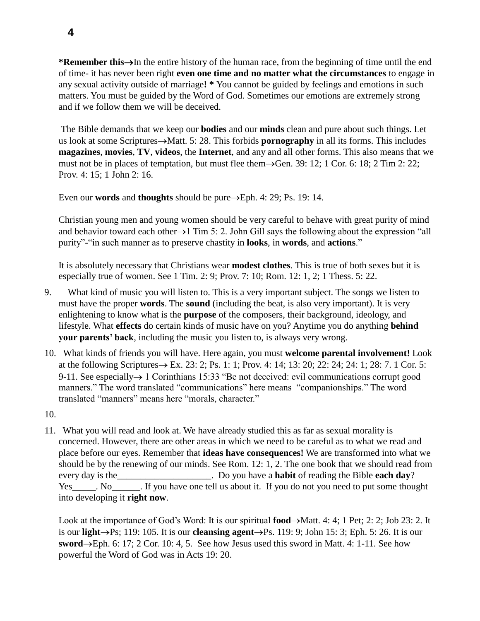**\*Remember this**—In the entire history of the human race, from the beginning of time until the end of time- it has never been right **even one time and no matter what the circumstances** to engage in any sexual activity outside of marriage**! \*** You cannot be guided by feelings and emotions in such matters. You must be guided by the Word of God. Sometimes our emotions are extremely strong and if we follow them we will be deceived.

The Bible demands that we keep our **bodies** and our **minds** clean and pure about such things. Let us look at some Scriptures->Matt. 5: 28. This forbids **pornography** in all its forms. This includes **magazines**, **movies**, **TV**, **videos**, the **Internet**, and any and all other forms. This also means that we must not be in places of temptation, but must flee them $\rightarrow$ Gen. 39: 12; 1 Cor. 6: 18; 2 Tim 2: 22; Prov. 4: 15; 1 John 2: 16.

Even our **words** and **thoughts** should be pure $\rightarrow$ Eph. 4: 29; Ps. 19: 14.

Christian young men and young women should be very careful to behave with great purity of mind and behavior toward each other $\rightarrow$ 1 Tim 5: 2. John Gill says the following about the expression "all purity"-"in such manner as to preserve chastity in **looks**, in **words**, and **actions**."

It is absolutely necessary that Christians wear **modest clothes**. This is true of both sexes but it is especially true of women. See 1 Tim. 2: 9; Prov. 7: 10; Rom. 12: 1, 2; 1 Thess. 5: 22.

- 9. What kind of music you will listen to. This is a very important subject. The songs we listen to must have the proper **words**. The **sound** (including the beat, is also very important). It is very enlightening to know what is the **purpose** of the composers, their background, ideology, and lifestyle. What **effects** do certain kinds of music have on you? Anytime you do anything **behind your parents' back**, including the music you listen to, is always very wrong.
- 10. What kinds of friends you will have. Here again, you must **welcome parental involvement!** Look at the following Scriptures  $\rightarrow$  Ex. 23: 2; Ps. 1: 1; Prov. 4: 14; 13: 20; 22: 24; 24: 1; 28: 7. 1 Cor. 5: 9-11. See especially  $\rightarrow$  1 Corinthians 15:33 "Be not deceived: evil communications corrupt good manners." The word translated "communications" here means "companionships." The word translated "manners" means here "morals, character."
- 10.
- 11. What you will read and look at. We have already studied this as far as sexual morality is concerned. However, there are other areas in which we need to be careful as to what we read and place before our eyes. Remember that **ideas have consequences!** We are transformed into what we should be by the renewing of our minds. See Rom. 12: 1, 2. The one book that we should read from every day is the\_\_\_\_\_\_\_\_\_\_\_\_\_\_\_\_\_\_\_\_. Do you have a **habit** of reading the Bible **each day**? Yes Now No Reflexive May tell us about it. If you do not you need to put some thought into developing it **right now**.

Look at the importance of God's Word: It is our spiritual  $food \rightarrow Matt. 4: 4; 1 Pet; 2: 2; Job 23: 2. It$ is our **light** $\rightarrow$ Ps; 119: 105. It is our **cleansing agent** $\rightarrow$ Ps. 119: 9; John 15: 3; Eph. 5: 26. It is our **sword** $\rightarrow$ Eph. 6: 17; 2 Cor. 10: 4, 5. See how Jesus used this sword in Matt. 4: 1-11. See how powerful the Word of God was in Acts 19: 20.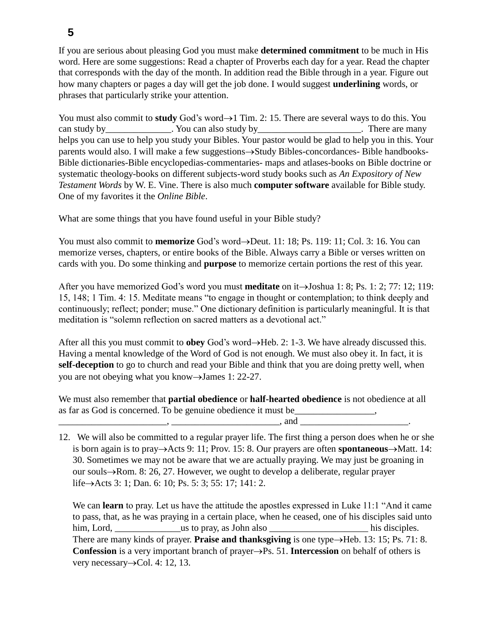If you are serious about pleasing God you must make **determined commitment** to be much in His word. Here are some suggestions: Read a chapter of Proverbs each day for a year. Read the chapter that corresponds with the day of the month. In addition read the Bible through in a year. Figure out how many chapters or pages a day will get the job done. I would suggest **underlining** words, or phrases that particularly strike your attention.

You must also commit to **study** God's word $\rightarrow$ 1 Tim. 2: 15. There are several ways to do this. You can study by\_\_\_\_\_\_\_\_\_\_\_\_\_\_\_. You can also study by\_\_\_\_\_\_\_\_\_\_\_\_\_\_\_\_\_\_\_\_\_\_\_. There are many helps you can use to help you study your Bibles. Your pastor would be glad to help you in this. Your parents would also. I will make a few suggestions $\rightarrow$ Study Bibles-concordances- Bible handbooks-Bible dictionaries-Bible encyclopedias-commentaries- maps and atlases-books on Bible doctrine or systematic theology-books on different subjects-word study books such as *An Expository of New Testament Words* by W. E. Vine. There is also much **computer software** available for Bible study. One of my favorites it the *Online Bible*.

What are some things that you have found useful in your Bible study?

You must also commit to **memorize** God's word $\rightarrow$ Deut. 11: 18; Ps. 119: 11; Col. 3: 16. You can memorize verses, chapters, or entire books of the Bible. Always carry a Bible or verses written on cards with you. Do some thinking and **purpose** to memorize certain portions the rest of this year.

After you have memorized God's word you must **meditate** on it  $\rightarrow$  Joshua 1: 8; Ps. 1: 2; 77: 12; 119: 15, 148; 1 Tim. 4: 15. Meditate means "to engage in thought or contemplation; to think deeply and continuously; reflect; ponder; muse." One dictionary definition is particularly meaningful. It is that meditation is "solemn reflection on sacred matters as a devotional act."

After all this you must commit to **obey** God's word $\rightarrow$ Heb. 2: 1-3. We have already discussed this. Having a mental knowledge of the Word of God is not enough. We must also obey it. In fact, it is **self-deception** to go to church and read your Bible and think that you are doing pretty well, when you are not obeying what you know $\rightarrow$ James 1: 22-27.

We must also remember that **partial obedience** or **half-hearted obedience** is not obedience at all as far as God is concerned. To be genuine obedience it must be

 $\Box$ , and  $\Box$ 

12. We will also be committed to a regular prayer life. The first thing a person does when he or she is born again is to pray $\rightarrow$ Acts 9: 11; Prov. 15: 8. Our prayers are often **spontaneous** $\rightarrow$ Matt. 14: 30. Sometimes we may not be aware that we are actually praying. We may just be groaning in our souls $\rightarrow$ Rom. 8: 26, 27. However, we ought to develop a deliberate, regular prayer life $\rightarrow$ Acts 3: 1; Dan. 6: 10; Ps. 5: 3; 55: 17; 141: 2.

We can **learn** to pray. Let us have the attitude the apostles expressed in Luke 11:1 "And it came to pass, that, as he was praying in a certain place, when he ceased, one of his disciples said unto him, Lord, \_\_\_\_\_\_\_\_\_\_\_\_\_\_us to pray, as John also \_\_\_\_\_\_\_\_\_\_\_\_\_\_\_\_\_\_\_\_\_ his disciples. There are many kinds of prayer. **Praise and thanksgiving** is one type $\rightarrow$ Heb. 13: 15; Ps. 71: 8. **Confession** is a very important branch of prayer $\rightarrow$ Ps. 51. **Intercession** on behalf of others is very necessary $\rightarrow$ Col. 4: 12, 13.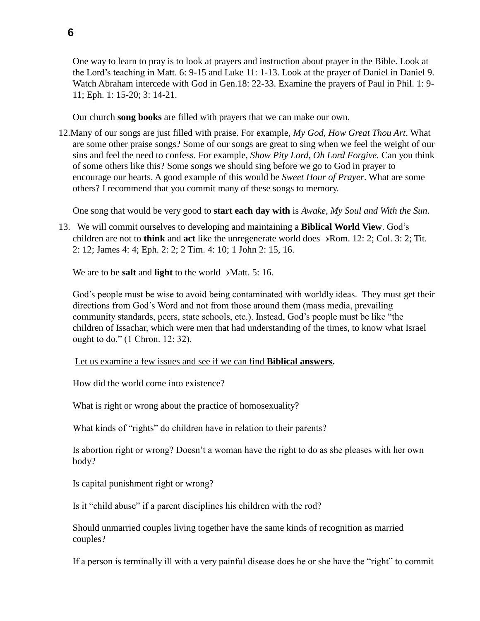One way to learn to pray is to look at prayers and instruction about prayer in the Bible. Look at the Lord's teaching in Matt. 6: 9-15 and Luke 11: 1-13. Look at the prayer of Daniel in Daniel 9. Watch Abraham intercede with God in Gen.18: 22-33. Examine the prayers of Paul in Phil. 1: 9- 11; Eph. 1: 15-20; 3: 14-21.

Our church **song books** are filled with prayers that we can make our own.

12.Many of our songs are just filled with praise. For example, *My God, How Great Thou Art*. What are some other praise songs? Some of our songs are great to sing when we feel the weight of our sins and feel the need to confess. For example, *Show Pity Lord, Oh Lord Forgive.* Can you think of some others like this? Some songs we should sing before we go to God in prayer to encourage our hearts. A good example of this would be *Sweet Hour of Prayer*. What are some others? I recommend that you commit many of these songs to memory.

One song that would be very good to **start each day with** is *Awake, My Soul and With the Sun*.

13. We will commit ourselves to developing and maintaining a **Biblical World View**. God's children are not to **think** and **act** like the unregenerate world does $\rightarrow$ Rom. 12: 2; Col. 3: 2; Tit. 2: 12; James 4: 4; Eph. 2: 2; 2 Tim. 4: 10; 1 John 2: 15, 16.

We are to be **salt** and **light** to the world $\rightarrow$ Matt. 5: 16.

God's people must be wise to avoid being contaminated with worldly ideas. They must get their directions from God's Word and not from those around them (mass media, prevailing community standards, peers, state schools, etc.). Instead, God's people must be like "the children of Issachar, which were men that had understanding of the times, to know what Israel ought to do." (1 Chron. 12: 32).

Let us examine a few issues and see if we can find **Biblical answers.** 

How did the world come into existence?

What is right or wrong about the practice of homosexuality?

What kinds of "rights" do children have in relation to their parents?

Is abortion right or wrong? Doesn't a woman have the right to do as she pleases with her own body?

Is capital punishment right or wrong?

Is it "child abuse" if a parent disciplines his children with the rod?

Should unmarried couples living together have the same kinds of recognition as married couples?

If a person is terminally ill with a very painful disease does he or she have the "right" to commit